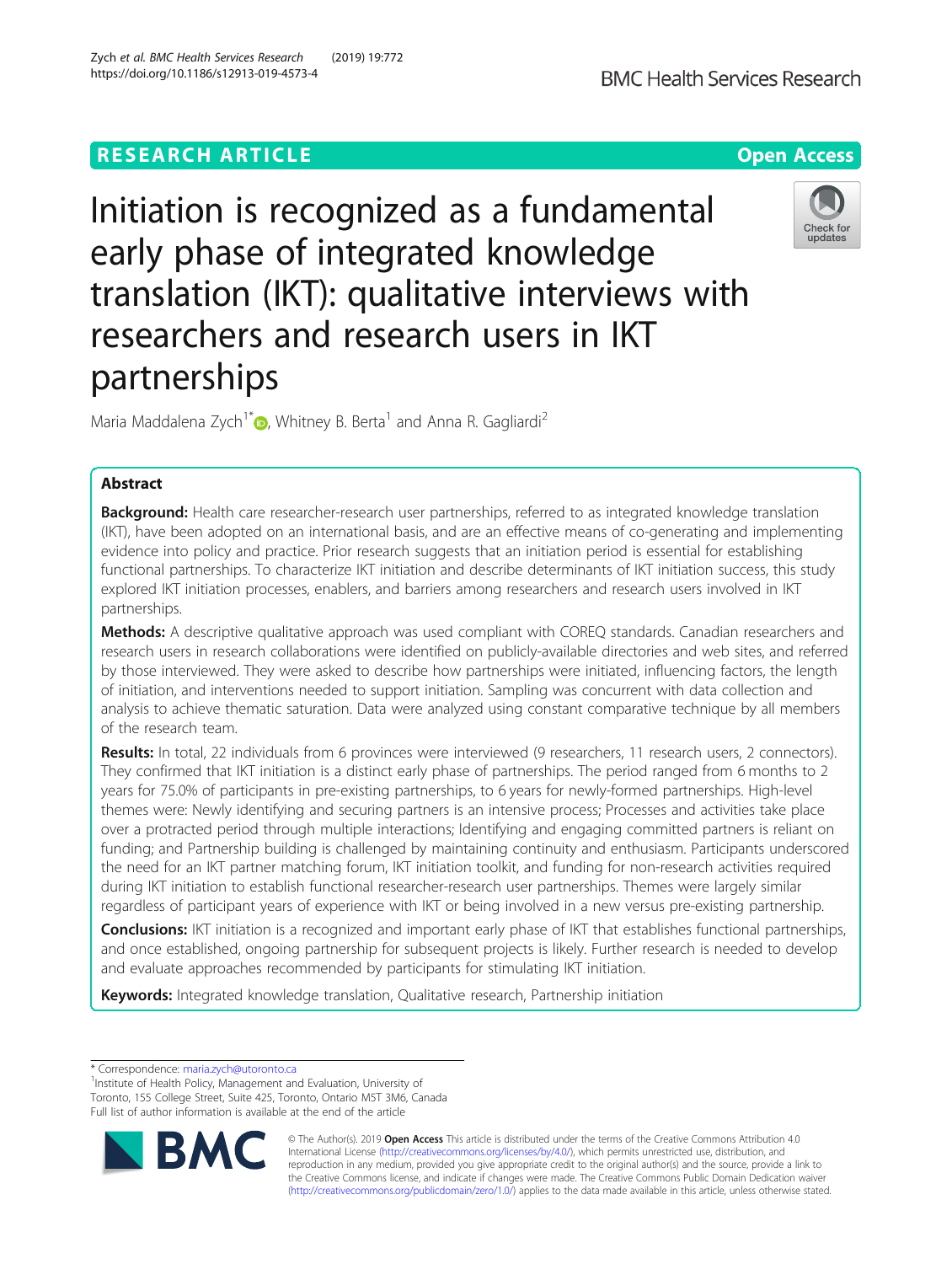# **RESEARCH ARTICLE Example 2014 12:30 The Open Access**

Initiation is recognized as a fundamental early phase of integrated knowledge translation (IKT): qualitative interviews with researchers and research users in IKT partnerships

Maria Maddalena Zych<sup>1\*</sup> $\bullet$ [,](http://orcid.org/0000-0002-9510-3875) Whitney B. Berta<sup>1</sup> and Anna R. Gagliardi<sup>2</sup>

# Abstract

Background: Health care researcher-research user partnerships, referred to as integrated knowledge translation (IKT), have been adopted on an international basis, and are an effective means of co-generating and implementing evidence into policy and practice. Prior research suggests that an initiation period is essential for establishing functional partnerships. To characterize IKT initiation and describe determinants of IKT initiation success, this study explored IKT initiation processes, enablers, and barriers among researchers and research users involved in IKT partnerships.

Methods: A descriptive qualitative approach was used compliant with COREQ standards. Canadian researchers and research users in research collaborations were identified on publicly-available directories and web sites, and referred by those interviewed. They were asked to describe how partnerships were initiated, influencing factors, the length of initiation, and interventions needed to support initiation. Sampling was concurrent with data collection and analysis to achieve thematic saturation. Data were analyzed using constant comparative technique by all members of the research team.

Results: In total, 22 individuals from 6 provinces were interviewed (9 researchers, 11 research users, 2 connectors). They confirmed that IKT initiation is a distinct early phase of partnerships. The period ranged from 6 months to 2 years for 75.0% of participants in pre-existing partnerships, to 6 years for newly-formed partnerships. High-level themes were: Newly identifying and securing partners is an intensive process; Processes and activities take place over a protracted period through multiple interactions; Identifying and engaging committed partners is reliant on funding; and Partnership building is challenged by maintaining continuity and enthusiasm. Participants underscored the need for an IKT partner matching forum, IKT initiation toolkit, and funding for non-research activities required during IKT initiation to establish functional researcher-research user partnerships. Themes were largely similar regardless of participant years of experience with IKT or being involved in a new versus pre-existing partnership.

**Conclusions:** IKT initiation is a recognized and important early phase of IKT that establishes functional partnerships, and once established, ongoing partnership for subsequent projects is likely. Further research is needed to develop and evaluate approaches recommended by participants for stimulating IKT initiation.

Keywords: Integrated knowledge translation, Qualitative research, Partnership initiation

\* Correspondence: [maria.zych@utoronto.ca](mailto:maria.zych@utoronto.ca) <sup>1</sup>

<sup>1</sup>Institute of Health Policy, Management and Evaluation, University of Toronto, 155 College Street, Suite 425, Toronto, Ontario M5T 3M6, Canada Full list of author information is available at the end of the article

> © The Author(s). 2019 **Open Access** This article is distributed under the terms of the Creative Commons Attribution 4.0 International License [\(http://creativecommons.org/licenses/by/4.0/](http://creativecommons.org/licenses/by/4.0/)), which permits unrestricted use, distribution, and reproduction in any medium, provided you give appropriate credit to the original author(s) and the source, provide a link to the Creative Commons license, and indicate if changes were made. The Creative Commons Public Domain Dedication waiver [\(http://creativecommons.org/publicdomain/zero/1.0/](http://creativecommons.org/publicdomain/zero/1.0/)) applies to the data made available in this article, unless otherwise stated.

Zych et al. BMC Health Services Research (2019) 19:772 https://doi.org/10.1186/s12913-019-4573-4



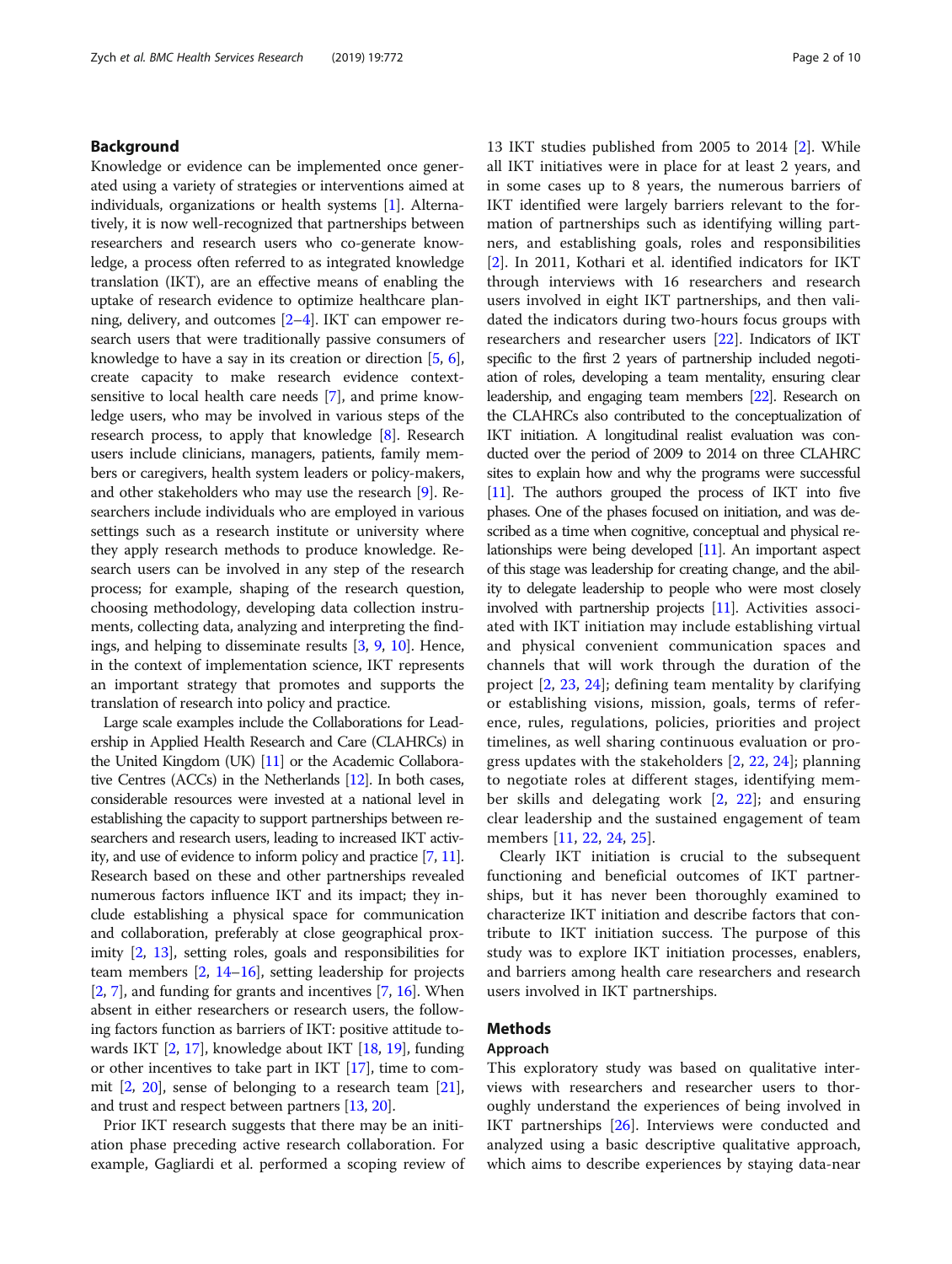### Background

Knowledge or evidence can be implemented once generated using a variety of strategies or interventions aimed at individuals, organizations or health systems [\[1\]](#page-8-0). Alternatively, it is now well-recognized that partnerships between researchers and research users who co-generate knowledge, a process often referred to as integrated knowledge translation (IKT), are an effective means of enabling the uptake of research evidence to optimize healthcare planning, delivery, and outcomes [[2](#page-8-0)–[4](#page-8-0)]. IKT can empower research users that were traditionally passive consumers of knowledge to have a say in its creation or direction [\[5](#page-8-0), [6](#page-8-0)], create capacity to make research evidence contextsensitive to local health care needs [[7\]](#page-8-0), and prime knowledge users, who may be involved in various steps of the research process, to apply that knowledge [\[8](#page-8-0)]. Research users include clinicians, managers, patients, family members or caregivers, health system leaders or policy-makers, and other stakeholders who may use the research [[9](#page-8-0)]. Researchers include individuals who are employed in various settings such as a research institute or university where they apply research methods to produce knowledge. Research users can be involved in any step of the research process; for example, shaping of the research question, choosing methodology, developing data collection instruments, collecting data, analyzing and interpreting the findings, and helping to disseminate results [[3,](#page-8-0) [9,](#page-8-0) [10](#page-8-0)]. Hence, in the context of implementation science, IKT represents an important strategy that promotes and supports the translation of research into policy and practice.

Large scale examples include the Collaborations for Leadership in Applied Health Research and Care (CLAHRCs) in the United Kingdom (UK) [\[11](#page-8-0)] or the Academic Collaborative Centres (ACCs) in the Netherlands [\[12](#page-8-0)]. In both cases, considerable resources were invested at a national level in establishing the capacity to support partnerships between researchers and research users, leading to increased IKT activity, and use of evidence to inform policy and practice [\[7,](#page-8-0) [11](#page-8-0)]. Research based on these and other partnerships revealed numerous factors influence IKT and its impact; they include establishing a physical space for communication and collaboration, preferably at close geographical proximity [[2](#page-8-0), [13\]](#page-8-0), setting roles, goals and responsibilities for team members [\[2](#page-8-0), [14](#page-8-0)–[16](#page-8-0)], setting leadership for projects [[2,](#page-8-0) [7](#page-8-0)], and funding for grants and incentives [\[7](#page-8-0), [16\]](#page-8-0). When absent in either researchers or research users, the following factors function as barriers of IKT: positive attitude towards IKT [\[2](#page-8-0), [17](#page-8-0)], knowledge about IKT [\[18,](#page-8-0) [19](#page-8-0)], funding or other incentives to take part in IKT [\[17\]](#page-8-0), time to commit [[2,](#page-8-0) [20\]](#page-8-0), sense of belonging to a research team [[21](#page-8-0)], and trust and respect between partners [\[13](#page-8-0), [20](#page-8-0)].

Prior IKT research suggests that there may be an initiation phase preceding active research collaboration. For example, Gagliardi et al. performed a scoping review of 13 IKT studies published from 2005 to 2014 [[2\]](#page-8-0). While all IKT initiatives were in place for at least 2 years, and in some cases up to 8 years, the numerous barriers of IKT identified were largely barriers relevant to the formation of partnerships such as identifying willing partners, and establishing goals, roles and responsibilities [[2\]](#page-8-0). In 2011, Kothari et al. identified indicators for IKT through interviews with 16 researchers and research users involved in eight IKT partnerships, and then validated the indicators during two-hours focus groups with researchers and researcher users [[22](#page-8-0)]. Indicators of IKT specific to the first 2 years of partnership included negotiation of roles, developing a team mentality, ensuring clear leadership, and engaging team members [\[22](#page-8-0)]. Research on the CLAHRCs also contributed to the conceptualization of IKT initiation. A longitudinal realist evaluation was conducted over the period of 2009 to 2014 on three CLAHRC sites to explain how and why the programs were successful [[11\]](#page-8-0). The authors grouped the process of IKT into five phases. One of the phases focused on initiation, and was described as a time when cognitive, conceptual and physical relationships were being developed [\[11](#page-8-0)]. An important aspect of this stage was leadership for creating change, and the ability to delegate leadership to people who were most closely involved with partnership projects [\[11](#page-8-0)]. Activities associated with IKT initiation may include establishing virtual and physical convenient communication spaces and channels that will work through the duration of the project [\[2](#page-8-0), [23,](#page-8-0) [24\]](#page-8-0); defining team mentality by clarifying or establishing visions, mission, goals, terms of reference, rules, regulations, policies, priorities and project timelines, as well sharing continuous evaluation or progress updates with the stakeholders [[2,](#page-8-0) [22,](#page-8-0) [24\]](#page-8-0); planning to negotiate roles at different stages, identifying member skills and delegating work [\[2](#page-8-0), [22\]](#page-8-0); and ensuring clear leadership and the sustained engagement of team members [\[11](#page-8-0), [22](#page-8-0), [24,](#page-8-0) [25\]](#page-8-0).

Clearly IKT initiation is crucial to the subsequent functioning and beneficial outcomes of IKT partnerships, but it has never been thoroughly examined to characterize IKT initiation and describe factors that contribute to IKT initiation success. The purpose of this study was to explore IKT initiation processes, enablers, and barriers among health care researchers and research users involved in IKT partnerships.

# Methods

### Approach

This exploratory study was based on qualitative interviews with researchers and researcher users to thoroughly understand the experiences of being involved in IKT partnerships [[26\]](#page-8-0). Interviews were conducted and analyzed using a basic descriptive qualitative approach, which aims to describe experiences by staying data-near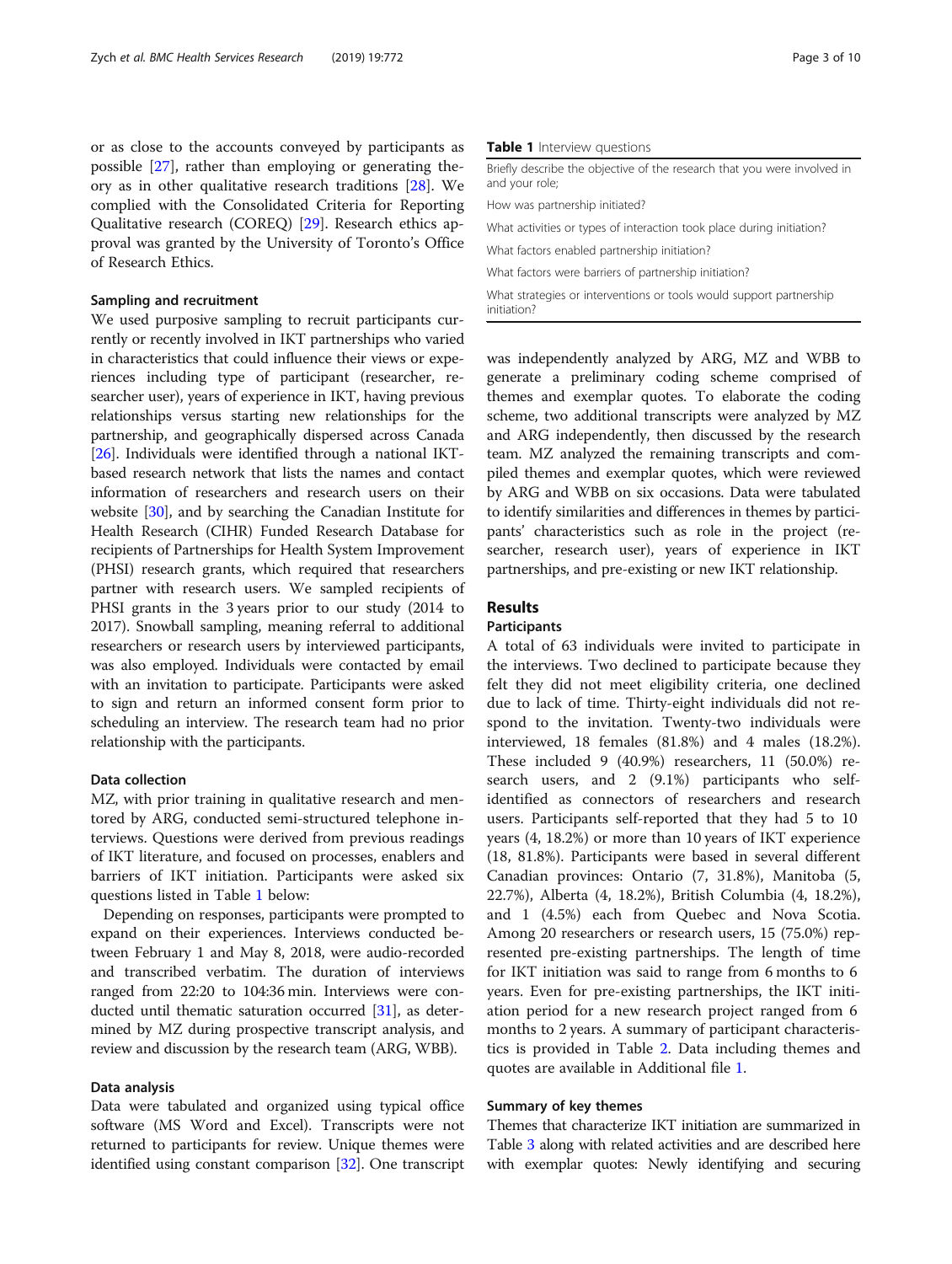or as close to the accounts conveyed by participants as possible [[27](#page-8-0)], rather than employing or generating theory as in other qualitative research traditions [[28\]](#page-9-0). We complied with the Consolidated Criteria for Reporting Qualitative research (COREQ) [\[29](#page-9-0)]. Research ethics approval was granted by the University of Toronto's Office of Research Ethics.

### Sampling and recruitment

We used purposive sampling to recruit participants currently or recently involved in IKT partnerships who varied in characteristics that could influence their views or experiences including type of participant (researcher, researcher user), years of experience in IKT, having previous relationships versus starting new relationships for the partnership, and geographically dispersed across Canada [[26](#page-8-0)]. Individuals were identified through a national IKTbased research network that lists the names and contact information of researchers and research users on their website [\[30\]](#page-9-0), and by searching the Canadian Institute for Health Research (CIHR) Funded Research Database for recipients of Partnerships for Health System Improvement (PHSI) research grants, which required that researchers partner with research users. We sampled recipients of PHSI grants in the 3 years prior to our study (2014 to 2017). Snowball sampling, meaning referral to additional researchers or research users by interviewed participants, was also employed. Individuals were contacted by email with an invitation to participate. Participants were asked to sign and return an informed consent form prior to scheduling an interview. The research team had no prior relationship with the participants.

### Data collection

MZ, with prior training in qualitative research and mentored by ARG, conducted semi-structured telephone interviews. Questions were derived from previous readings of IKT literature, and focused on processes, enablers and barriers of IKT initiation. Participants were asked six questions listed in Table 1 below:

Depending on responses, participants were prompted to expand on their experiences. Interviews conducted between February 1 and May 8, 2018, were audio-recorded and transcribed verbatim. The duration of interviews ranged from 22:20 to 104:36 min. Interviews were conducted until thematic saturation occurred [[31](#page-9-0)], as determined by MZ during prospective transcript analysis, and review and discussion by the research team (ARG, WBB).

### Data analysis

Data were tabulated and organized using typical office software (MS Word and Excel). Transcripts were not returned to participants for review. Unique themes were identified using constant comparison [\[32\]](#page-9-0). One transcript

#### Table 1 Interview questions

Briefly describe the objective of the research that you were involved in and your role; How was partnership initiated?

What activities or types of interaction took place during initiation? What factors enabled partnership initiation? What factors were barriers of partnership initiation? What strategies or interventions or tools would support partnership

was independently analyzed by ARG, MZ and WBB to generate a preliminary coding scheme comprised of themes and exemplar quotes. To elaborate the coding scheme, two additional transcripts were analyzed by MZ and ARG independently, then discussed by the research team. MZ analyzed the remaining transcripts and compiled themes and exemplar quotes, which were reviewed by ARG and WBB on six occasions. Data were tabulated to identify similarities and differences in themes by participants' characteristics such as role in the project (researcher, research user), years of experience in IKT partnerships, and pre-existing or new IKT relationship.

### Results

initiation?

#### Participants

A total of 63 individuals were invited to participate in the interviews. Two declined to participate because they felt they did not meet eligibility criteria, one declined due to lack of time. Thirty-eight individuals did not respond to the invitation. Twenty-two individuals were interviewed, 18 females (81.8%) and 4 males (18.2%). These included 9 (40.9%) researchers, 11 (50.0%) research users, and 2 (9.1%) participants who selfidentified as connectors of researchers and research users. Participants self-reported that they had 5 to 10 years (4, 18.2%) or more than 10 years of IKT experience (18, 81.8%). Participants were based in several different Canadian provinces: Ontario (7, 31.8%), Manitoba (5, 22.7%), Alberta (4, 18.2%), British Columbia (4, 18.2%), and 1 (4.5%) each from Quebec and Nova Scotia. Among 20 researchers or research users, 15 (75.0%) represented pre-existing partnerships. The length of time for IKT initiation was said to range from 6 months to 6 years. Even for pre-existing partnerships, the IKT initiation period for a new research project ranged from 6 months to 2 years. A summary of participant characteristics is provided in Table [2.](#page-3-0) Data including themes and quotes are available in Additional file [1](#page-8-0).

### Summary of key themes

Themes that characterize IKT initiation are summarized in Table [3](#page-4-0) along with related activities and are described here with exemplar quotes: Newly identifying and securing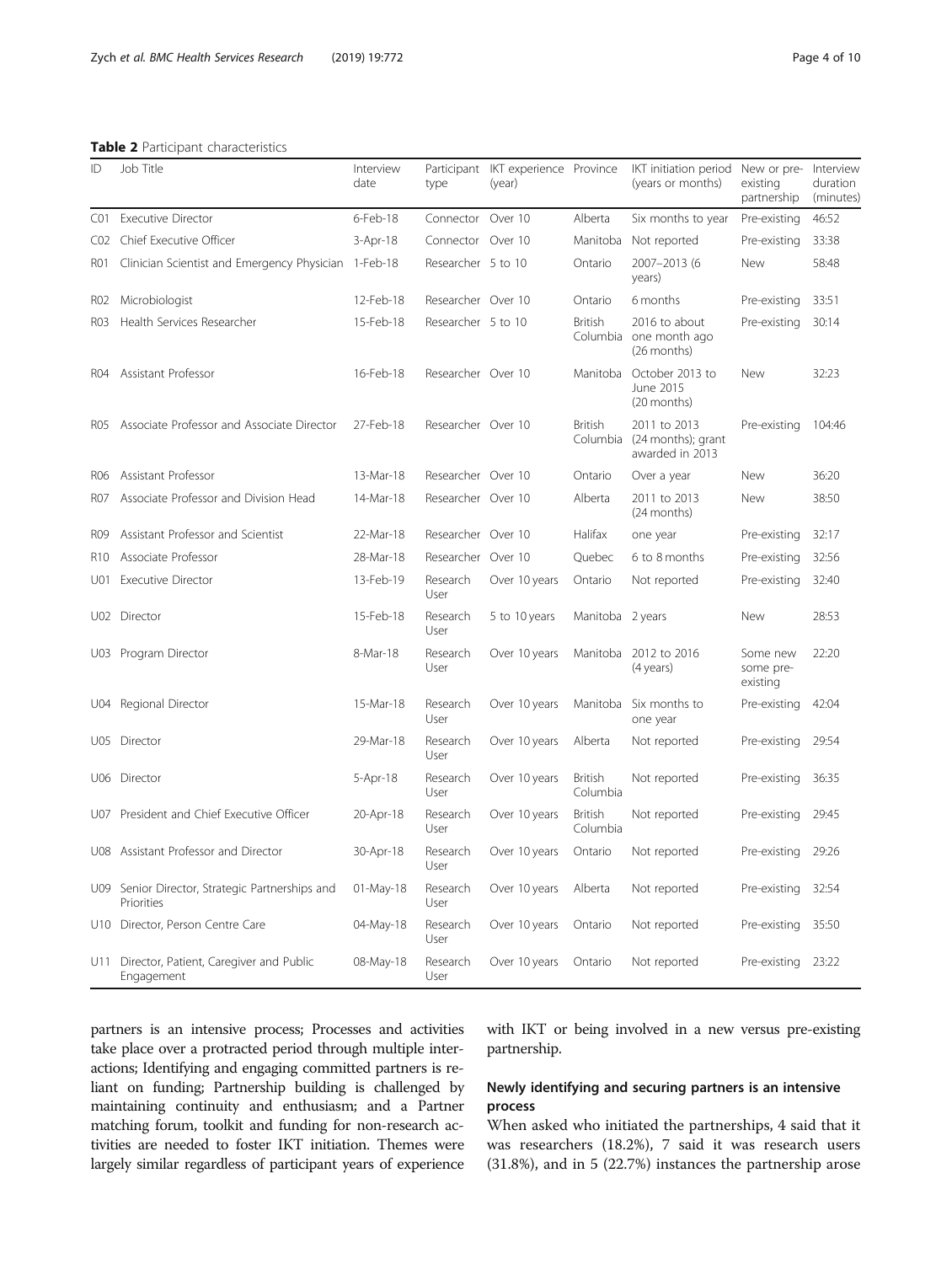<span id="page-3-0"></span>Table 2 Participant characteristics

| ID              | Job Title                                                 | Interview<br>date | type               | Participant IKT experience Province<br>(year) |                            | IKT initiation period<br>(years or months)             | New or pre- Interview<br>existing<br>partnership | duration<br>(minutes) |
|-----------------|-----------------------------------------------------------|-------------------|--------------------|-----------------------------------------------|----------------------------|--------------------------------------------------------|--------------------------------------------------|-----------------------|
| C <sub>01</sub> | <b>Executive Director</b>                                 | $6$ -Feb-18       | Connector          | Over 10                                       | Alberta                    | Six months to year                                     | Pre-existing                                     | 46:52                 |
| CO <sub>2</sub> | Chief Executive Officer                                   | $3-Apr-18$        | Connector          | Over 10                                       | Manitoba                   | Not reported                                           | Pre-existing                                     | 33:38                 |
| RO1             | Clinician Scientist and Emergency Physician               | 1-Feb-18          | Researcher 5 to 10 |                                               | Ontario                    | 2007-2013 (6<br>years)                                 | New                                              | 58:48                 |
| R02             | Microbiologist                                            | 12-Feb-18         | Researcher Over 10 |                                               | Ontario                    | 6 months                                               | Pre-existing                                     | 33:51                 |
| RO3             | Health Services Researcher                                | 15-Feb-18         | Researcher 5 to 10 |                                               | <b>British</b>             | 2016 to about<br>Columbia one month ago<br>(26 months) | Pre-existing                                     | 30:14                 |
| R04             | Assistant Professor                                       | 16-Feb-18         | Researcher Over 10 |                                               |                            | Manitoba October 2013 to<br>June 2015<br>(20 months)   | New                                              | 32:23                 |
| R05             | Associate Professor and Associate Director                | 27-Feb-18         | Researcher Over 10 |                                               | <b>British</b><br>Columbia | 2011 to 2013<br>(24 months); grant<br>awarded in 2013  | Pre-existing                                     | 104:46                |
| R06             | Assistant Professor                                       | 13-Mar-18         | Researcher Over 10 |                                               | Ontario                    | Over a year                                            | New                                              | 36:20                 |
| R07             | Associate Professor and Division Head                     | 14-Mar-18         | Researcher Over 10 |                                               | Alberta                    | 2011 to 2013<br>(24 months)                            | New                                              | 38:50                 |
| R <sub>09</sub> | Assistant Professor and Scientist                         | 22-Mar-18         | Researcher Over 10 |                                               | Halifax                    | one year                                               | Pre-existing                                     | 32:17                 |
| R <sub>10</sub> | Associate Professor                                       | 28-Mar-18         | Researcher Over 10 |                                               | Quebec                     | 6 to 8 months                                          | Pre-existing                                     | 32:56                 |
| U01             | <b>Executive Director</b>                                 | 13-Feb-19         | Research<br>User   | Over 10 years                                 | Ontario                    | Not reported                                           | Pre-existing                                     | 32:40                 |
|                 | U02 Director                                              | 15-Feb-18         | Research<br>User   | 5 to 10 years                                 | Manitoba 2 years           |                                                        | New                                              | 28:53                 |
|                 | U03 Program Director                                      | 8-Mar-18          | Research<br>User   | Over 10 years                                 | Manitoba                   | 2012 to 2016<br>(4 years)                              | Some new<br>some pre-<br>existing                | 22:20                 |
|                 | U04 Regional Director                                     | 15-Mar-18         | Research<br>User   | Over 10 years                                 | Manitoba                   | Six months to<br>one year                              | Pre-existing                                     | 42:04                 |
|                 | U05 Director                                              | 29-Mar-18         | Research<br>User   | Over 10 years                                 | Alberta                    | Not reported                                           | Pre-existing                                     | 29:54                 |
| U06.            | Director                                                  | $5 - Apr - 18$    | Research<br>User   | Over 10 years                                 | <b>British</b><br>Columbia | Not reported                                           | Pre-existing                                     | 36:35                 |
|                 | U07 President and Chief Executive Officer                 | 20-Apr-18         | Research<br>User   | Over 10 years                                 | <b>British</b><br>Columbia | Not reported                                           | Pre-existing                                     | 29:45                 |
|                 | U08 Assistant Professor and Director                      | 30-Apr-18         | Research<br>User   | Over 10 years                                 | Ontario                    | Not reported                                           | Pre-existing                                     | 29:26                 |
| U09             | Senior Director, Strategic Partnerships and<br>Priorities | 01-May-18         | Research<br>User   | Over 10 years                                 | Alberta                    | Not reported                                           | Pre-existing                                     | 32:54                 |
|                 | U10 Director, Person Centre Care                          | 04-May-18         | Research<br>User   | Over 10 years                                 | Ontario                    | Not reported                                           | Pre-existing                                     | 35:50                 |
|                 | U11 Director, Patient, Caregiver and Public<br>Engagement | 08-May-18         | Research<br>User   | Over 10 years                                 | Ontario                    | Not reported                                           | Pre-existing 23:22                               |                       |

partners is an intensive process; Processes and activities take place over a protracted period through multiple interactions; Identifying and engaging committed partners is reliant on funding; Partnership building is challenged by maintaining continuity and enthusiasm; and a Partner matching forum, toolkit and funding for non-research activities are needed to foster IKT initiation. Themes were largely similar regardless of participant years of experience with IKT or being involved in a new versus pre-existing partnership.

# Newly identifying and securing partners is an intensive process

When asked who initiated the partnerships, 4 said that it was researchers (18.2%), 7 said it was research users (31.8%), and in 5 (22.7%) instances the partnership arose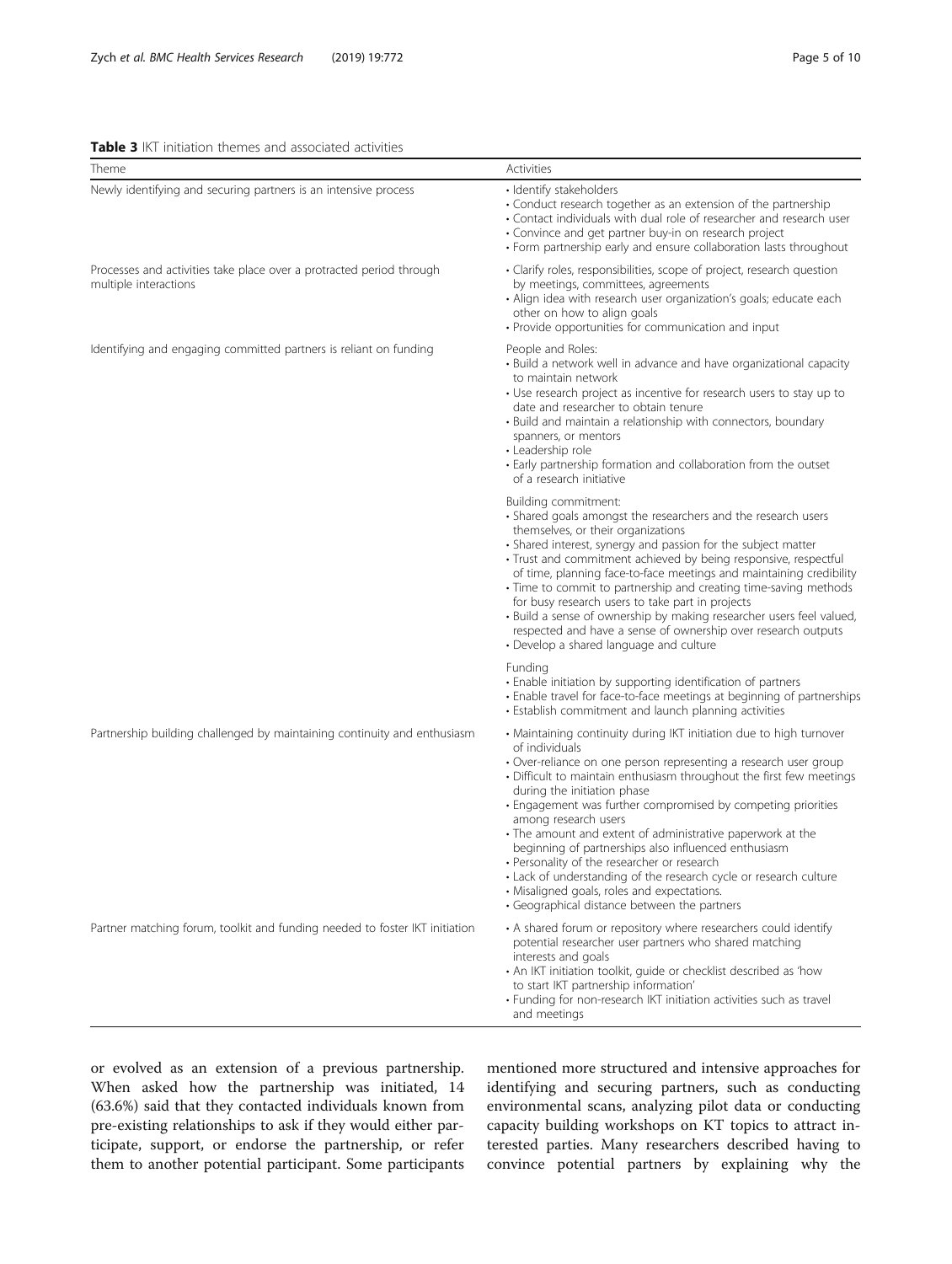<span id="page-4-0"></span>Table 3 IKT initiation themes and associated activities

| Theme                                                                                         | Activities                                                                                                                                                                                                                                                                                                                                                                                                                                                                                                                                                                                                                                                                                        |  |  |  |
|-----------------------------------------------------------------------------------------------|---------------------------------------------------------------------------------------------------------------------------------------------------------------------------------------------------------------------------------------------------------------------------------------------------------------------------------------------------------------------------------------------------------------------------------------------------------------------------------------------------------------------------------------------------------------------------------------------------------------------------------------------------------------------------------------------------|--|--|--|
| Newly identifying and securing partners is an intensive process                               | · Identify stakeholders<br>• Conduct research together as an extension of the partnership<br>• Contact individuals with dual role of researcher and research user<br>· Convince and get partner buy-in on research project<br>• Form partnership early and ensure collaboration lasts throughout                                                                                                                                                                                                                                                                                                                                                                                                  |  |  |  |
| Processes and activities take place over a protracted period through<br>multiple interactions | · Clarify roles, responsibilities, scope of project, research question<br>by meetings, committees, agreements<br>· Align idea with research user organization's goals; educate each<br>other on how to align goals<br>• Provide opportunities for communication and input                                                                                                                                                                                                                                                                                                                                                                                                                         |  |  |  |
| Identifying and engaging committed partners is reliant on funding                             | People and Roles:<br>• Build a network well in advance and have organizational capacity<br>to maintain network<br>• Use research project as incentive for research users to stay up to<br>date and researcher to obtain tenure<br>• Build and maintain a relationship with connectors, boundary<br>spanners, or mentors<br>• Leadership role<br>• Early partnership formation and collaboration from the outset<br>of a research initiative                                                                                                                                                                                                                                                       |  |  |  |
|                                                                                               | Building commitment:<br>• Shared goals amongst the researchers and the research users<br>themselves, or their organizations<br>• Shared interest, synergy and passion for the subject matter<br>· Trust and commitment achieved by being responsive, respectful<br>of time, planning face-to-face meetings and maintaining credibility<br>• Time to commit to partnership and creating time-saving methods<br>for busy research users to take part in projects<br>· Build a sense of ownership by making researcher users feel valued,<br>respected and have a sense of ownership over research outputs<br>• Develop a shared language and culture                                                |  |  |  |
|                                                                                               | Funding<br>• Enable initiation by supporting identification of partners<br>• Enable travel for face-to-face meetings at beginning of partnerships<br>• Establish commitment and launch planning activities                                                                                                                                                                                                                                                                                                                                                                                                                                                                                        |  |  |  |
| Partnership building challenged by maintaining continuity and enthusiasm                      | • Maintaining continuity during IKT initiation due to high turnover<br>of individuals<br>· Over-reliance on one person representing a research user group<br>• Difficult to maintain enthusiasm throughout the first few meetings<br>during the initiation phase<br>· Engagement was further compromised by competing priorities<br>among research users<br>• The amount and extent of administrative paperwork at the<br>beginning of partnerships also influenced enthusiasm<br>• Personality of the researcher or research<br>• Lack of understanding of the research cycle or research culture<br>• Misaligned goals, roles and expectations.<br>• Geographical distance between the partners |  |  |  |
| Partner matching forum, toolkit and funding needed to foster IKT initiation                   | • A shared forum or repository where researchers could identify<br>potential researcher user partners who shared matching<br>interests and goals<br>• An IKT initiation toolkit, guide or checklist described as 'how<br>to start IKT partnership information'<br>· Funding for non-research IKT initiation activities such as travel<br>and meetings                                                                                                                                                                                                                                                                                                                                             |  |  |  |

or evolved as an extension of a previous partnership. When asked how the partnership was initiated, 14 (63.6%) said that they contacted individuals known from pre-existing relationships to ask if they would either participate, support, or endorse the partnership, or refer them to another potential participant. Some participants

mentioned more structured and intensive approaches for identifying and securing partners, such as conducting environmental scans, analyzing pilot data or conducting capacity building workshops on KT topics to attract interested parties. Many researchers described having to convince potential partners by explaining why the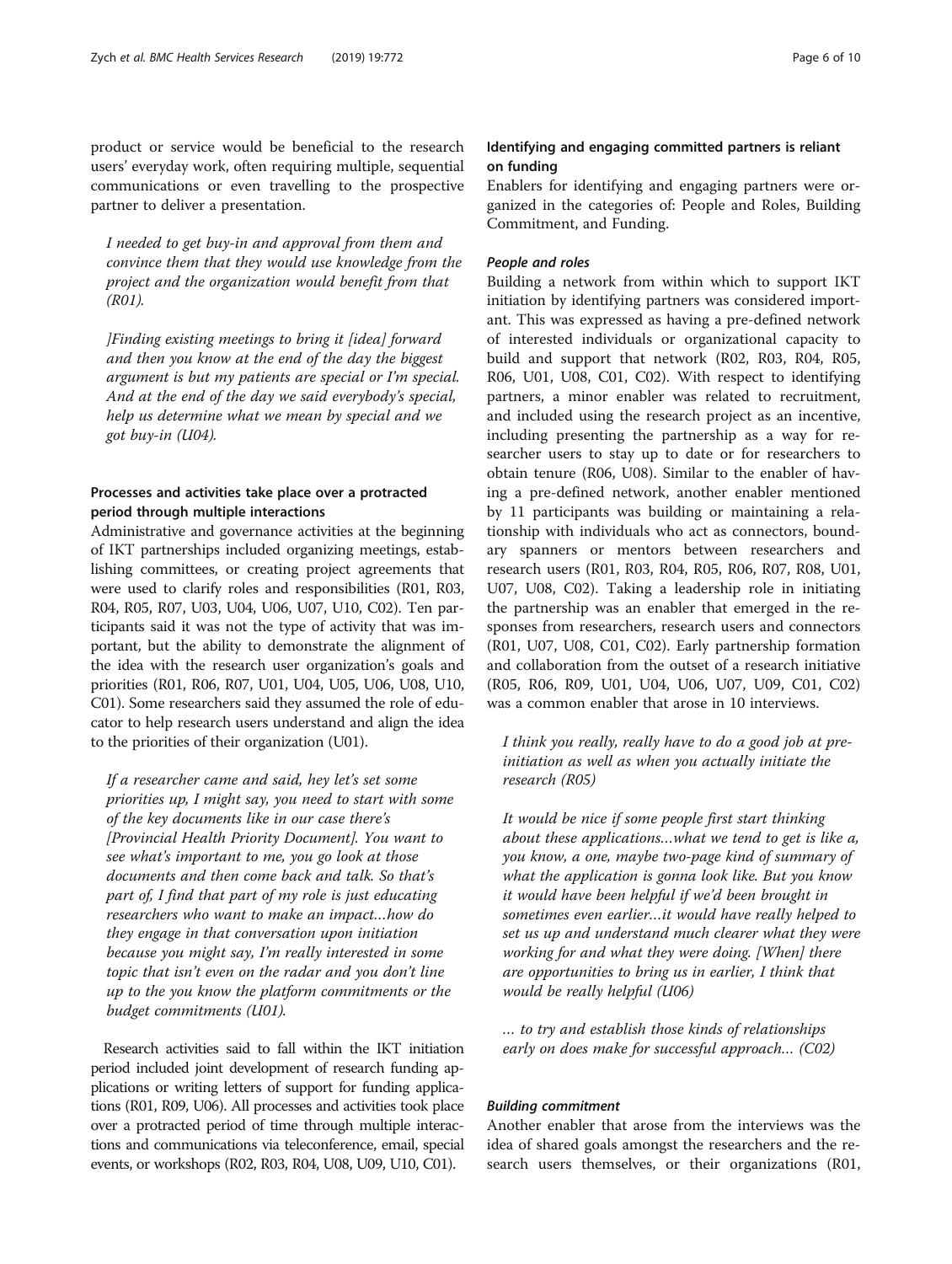I needed to get buy-in and approval from them and convince them that they would use knowledge from the project and the organization would benefit from that (R01).

]Finding existing meetings to bring it [idea] forward and then you know at the end of the day the biggest argument is but my patients are special or I'm special. And at the end of the day we said everybody's special, help us determine what we mean by special and we got buy-in (U04).

# Processes and activities take place over a protracted period through multiple interactions

Administrative and governance activities at the beginning of IKT partnerships included organizing meetings, establishing committees, or creating project agreements that were used to clarify roles and responsibilities (R01, R03, R04, R05, R07, U03, U04, U06, U07, U10, C02). Ten participants said it was not the type of activity that was important, but the ability to demonstrate the alignment of the idea with the research user organization's goals and priorities (R01, R06, R07, U01, U04, U05, U06, U08, U10, C01). Some researchers said they assumed the role of educator to help research users understand and align the idea to the priorities of their organization (U01).

If a researcher came and said, hey let's set some priorities up, I might say, you need to start with some of the key documents like in our case there's [Provincial Health Priority Document]. You want to see what's important to me, you go look at those documents and then come back and talk. So that's part of, I find that part of my role is just educating researchers who want to make an impact…how do they engage in that conversation upon initiation because you might say, I'm really interested in some topic that isn't even on the radar and you don't line up to the you know the platform commitments or the budget commitments (U01).

Research activities said to fall within the IKT initiation period included joint development of research funding applications or writing letters of support for funding applications (R01, R09, U06). All processes and activities took place over a protracted period of time through multiple interactions and communications via teleconference, email, special events, or workshops (R02, R03, R04, U08, U09, U10, C01).

# Identifying and engaging committed partners is reliant on funding

Enablers for identifying and engaging partners were organized in the categories of: People and Roles, Building Commitment, and Funding.

### People and roles

Building a network from within which to support IKT initiation by identifying partners was considered important. This was expressed as having a pre-defined network of interested individuals or organizational capacity to build and support that network (R02, R03, R04, R05, R06, U01, U08, C01, C02). With respect to identifying partners, a minor enabler was related to recruitment, and included using the research project as an incentive, including presenting the partnership as a way for researcher users to stay up to date or for researchers to obtain tenure (R06, U08). Similar to the enabler of having a pre-defined network, another enabler mentioned by 11 participants was building or maintaining a relationship with individuals who act as connectors, boundary spanners or mentors between researchers and research users (R01, R03, R04, R05, R06, R07, R08, U01, U07, U08, C02). Taking a leadership role in initiating the partnership was an enabler that emerged in the responses from researchers, research users and connectors (R01, U07, U08, C01, C02). Early partnership formation and collaboration from the outset of a research initiative (R05, R06, R09, U01, U04, U06, U07, U09, C01, C02) was a common enabler that arose in 10 interviews.

I think you really, really have to do a good job at preinitiation as well as when you actually initiate the research (R05)

It would be nice if some people first start thinking about these applications…what we tend to get is like a, you know, a one, maybe two-page kind of summary of what the application is gonna look like. But you know it would have been helpful if we'd been brought in sometimes even earlier…it would have really helped to set us up and understand much clearer what they were working for and what they were doing. [When] there are opportunities to bring us in earlier, I think that would be really helpful (U06)

… to try and establish those kinds of relationships early on does make for successful approach… (C02)

### Building commitment

Another enabler that arose from the interviews was the idea of shared goals amongst the researchers and the research users themselves, or their organizations (R01,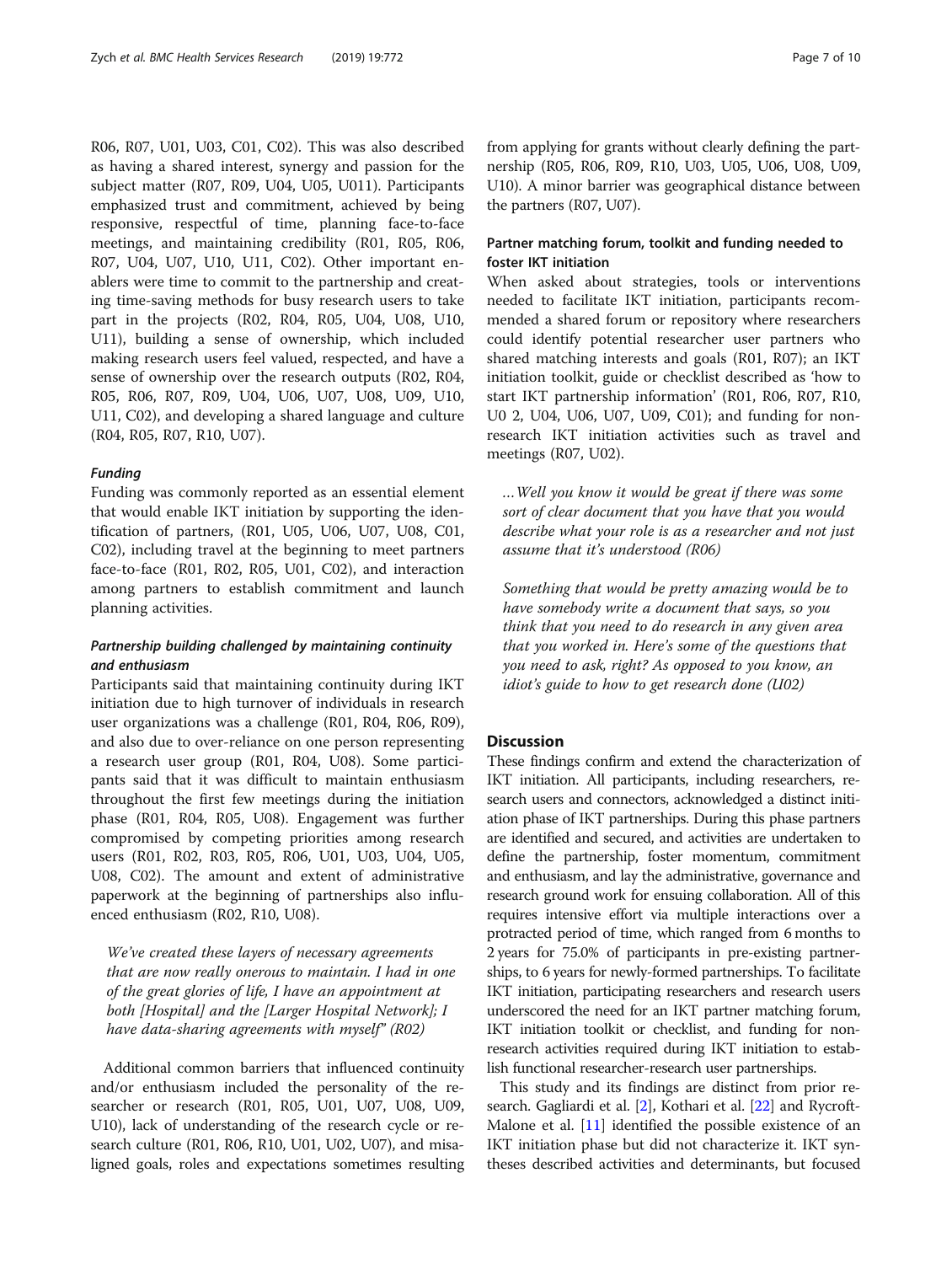R06, R07, U01, U03, C01, C02). This was also described as having a shared interest, synergy and passion for the subject matter (R07, R09, U04, U05, U011). Participants emphasized trust and commitment, achieved by being responsive, respectful of time, planning face-to-face meetings, and maintaining credibility (R01, R05, R06, R07, U04, U07, U10, U11, C02). Other important enablers were time to commit to the partnership and creating time-saving methods for busy research users to take part in the projects (R02, R04, R05, U04, U08, U10, U11), building a sense of ownership, which included making research users feel valued, respected, and have a sense of ownership over the research outputs (R02, R04, R05, R06, R07, R09, U04, U06, U07, U08, U09, U10, U11, C02), and developing a shared language and culture (R04, R05, R07, R10, U07).

# Funding

Funding was commonly reported as an essential element that would enable IKT initiation by supporting the identification of partners, (R01, U05, U06, U07, U08, C01, C02), including travel at the beginning to meet partners face-to-face (R01, R02, R05, U01, C02), and interaction among partners to establish commitment and launch planning activities.

# Partnership building challenged by maintaining continuity and enthusiasm

Participants said that maintaining continuity during IKT initiation due to high turnover of individuals in research user organizations was a challenge (R01, R04, R06, R09), and also due to over-reliance on one person representing a research user group (R01, R04, U08). Some participants said that it was difficult to maintain enthusiasm throughout the first few meetings during the initiation phase (R01, R04, R05, U08). Engagement was further compromised by competing priorities among research users (R01, R02, R03, R05, R06, U01, U03, U04, U05, U08, C02). The amount and extent of administrative paperwork at the beginning of partnerships also influenced enthusiasm (R02, R10, U08).

We've created these layers of necessary agreements that are now really onerous to maintain. I had in one of the great glories of life, I have an appointment at both [Hospital] and the [Larger Hospital Network]; I have data-sharing agreements with myself" (R02)

Additional common barriers that influenced continuity and/or enthusiasm included the personality of the researcher or research (R01, R05, U01, U07, U08, U09, U10), lack of understanding of the research cycle or research culture (R01, R06, R10, U01, U02, U07), and misaligned goals, roles and expectations sometimes resulting from applying for grants without clearly defining the partnership (R05, R06, R09, R10, U03, U05, U06, U08, U09, U10). A minor barrier was geographical distance between the partners (R07, U07).

# Partner matching forum, toolkit and funding needed to foster IKT initiation

When asked about strategies, tools or interventions needed to facilitate IKT initiation, participants recommended a shared forum or repository where researchers could identify potential researcher user partners who shared matching interests and goals (R01, R07); an IKT initiation toolkit, guide or checklist described as 'how to start IKT partnership information' (R01, R06, R07, R10, U0 2, U04, U06, U07, U09, C01); and funding for nonresearch IKT initiation activities such as travel and meetings (R07, U02).

…Well you know it would be great if there was some sort of clear document that you have that you would describe what your role is as a researcher and not just assume that it's understood (R06)

Something that would be pretty amazing would be to have somebody write a document that says, so you think that you need to do research in any given area that you worked in. Here's some of the questions that you need to ask, right? As opposed to you know, an idiot's guide to how to get research done (U02)

### **Discussion**

These findings confirm and extend the characterization of IKT initiation. All participants, including researchers, research users and connectors, acknowledged a distinct initiation phase of IKT partnerships. During this phase partners are identified and secured, and activities are undertaken to define the partnership, foster momentum, commitment and enthusiasm, and lay the administrative, governance and research ground work for ensuing collaboration. All of this requires intensive effort via multiple interactions over a protracted period of time, which ranged from 6 months to 2 years for 75.0% of participants in pre-existing partnerships, to 6 years for newly-formed partnerships. To facilitate IKT initiation, participating researchers and research users underscored the need for an IKT partner matching forum, IKT initiation toolkit or checklist, and funding for nonresearch activities required during IKT initiation to establish functional researcher-research user partnerships.

This study and its findings are distinct from prior research. Gagliardi et al. [\[2](#page-8-0)], Kothari et al. [\[22\]](#page-8-0) and Rycroft-Malone et al. [\[11\]](#page-8-0) identified the possible existence of an IKT initiation phase but did not characterize it. IKT syntheses described activities and determinants, but focused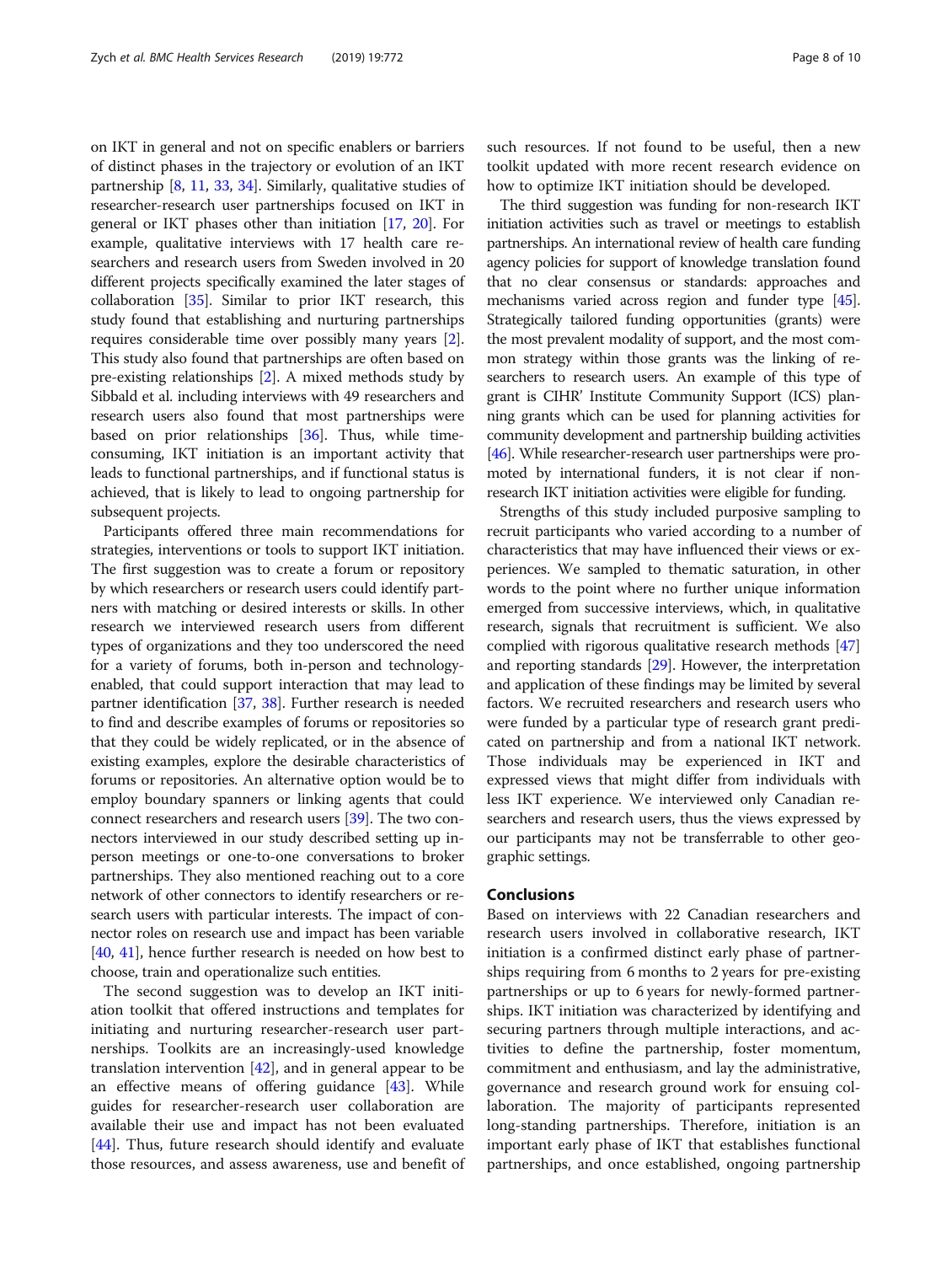on IKT in general and not on specific enablers or barriers of distinct phases in the trajectory or evolution of an IKT partnership [[8,](#page-8-0) [11,](#page-8-0) [33,](#page-9-0) [34\]](#page-9-0). Similarly, qualitative studies of researcher-research user partnerships focused on IKT in general or IKT phases other than initiation [\[17](#page-8-0), [20\]](#page-8-0). For example, qualitative interviews with 17 health care researchers and research users from Sweden involved in 20 different projects specifically examined the later stages of collaboration [\[35\]](#page-9-0). Similar to prior IKT research, this study found that establishing and nurturing partnerships requires considerable time over possibly many years [[2](#page-8-0)]. This study also found that partnerships are often based on pre-existing relationships [\[2\]](#page-8-0). A mixed methods study by Sibbald et al. including interviews with 49 researchers and research users also found that most partnerships were based on prior relationships [\[36\]](#page-9-0). Thus, while timeconsuming, IKT initiation is an important activity that leads to functional partnerships, and if functional status is achieved, that is likely to lead to ongoing partnership for subsequent projects.

Participants offered three main recommendations for strategies, interventions or tools to support IKT initiation. The first suggestion was to create a forum or repository by which researchers or research users could identify partners with matching or desired interests or skills. In other research we interviewed research users from different types of organizations and they too underscored the need for a variety of forums, both in-person and technologyenabled, that could support interaction that may lead to partner identification [[37](#page-9-0), [38](#page-9-0)]. Further research is needed to find and describe examples of forums or repositories so that they could be widely replicated, or in the absence of existing examples, explore the desirable characteristics of forums or repositories. An alternative option would be to employ boundary spanners or linking agents that could connect researchers and research users [[39](#page-9-0)]. The two connectors interviewed in our study described setting up inperson meetings or one-to-one conversations to broker partnerships. They also mentioned reaching out to a core network of other connectors to identify researchers or research users with particular interests. The impact of connector roles on research use and impact has been variable [[40](#page-9-0), [41](#page-9-0)], hence further research is needed on how best to choose, train and operationalize such entities.

The second suggestion was to develop an IKT initiation toolkit that offered instructions and templates for initiating and nurturing researcher-research user partnerships. Toolkits are an increasingly-used knowledge translation intervention [\[42](#page-9-0)], and in general appear to be an effective means of offering guidance [\[43\]](#page-9-0). While guides for researcher-research user collaboration are available their use and impact has not been evaluated [[44\]](#page-9-0). Thus, future research should identify and evaluate those resources, and assess awareness, use and benefit of such resources. If not found to be useful, then a new toolkit updated with more recent research evidence on how to optimize IKT initiation should be developed.

The third suggestion was funding for non-research IKT initiation activities such as travel or meetings to establish partnerships. An international review of health care funding agency policies for support of knowledge translation found that no clear consensus or standards: approaches and mechanisms varied across region and funder type [\[45](#page-9-0)]. Strategically tailored funding opportunities (grants) were the most prevalent modality of support, and the most common strategy within those grants was the linking of researchers to research users. An example of this type of grant is CIHR' Institute Community Support (ICS) planning grants which can be used for planning activities for community development and partnership building activities [[46](#page-9-0)]. While researcher-research user partnerships were promoted by international funders, it is not clear if nonresearch IKT initiation activities were eligible for funding.

Strengths of this study included purposive sampling to recruit participants who varied according to a number of characteristics that may have influenced their views or experiences. We sampled to thematic saturation, in other words to the point where no further unique information emerged from successive interviews, which, in qualitative research, signals that recruitment is sufficient. We also complied with rigorous qualitative research methods [[47](#page-9-0)] and reporting standards [\[29\]](#page-9-0). However, the interpretation and application of these findings may be limited by several factors. We recruited researchers and research users who were funded by a particular type of research grant predicated on partnership and from a national IKT network. Those individuals may be experienced in IKT and expressed views that might differ from individuals with less IKT experience. We interviewed only Canadian researchers and research users, thus the views expressed by our participants may not be transferrable to other geographic settings.

### Conclusions

Based on interviews with 22 Canadian researchers and research users involved in collaborative research, IKT initiation is a confirmed distinct early phase of partnerships requiring from 6 months to 2 years for pre-existing partnerships or up to 6 years for newly-formed partnerships. IKT initiation was characterized by identifying and securing partners through multiple interactions, and activities to define the partnership, foster momentum, commitment and enthusiasm, and lay the administrative, governance and research ground work for ensuing collaboration. The majority of participants represented long-standing partnerships. Therefore, initiation is an important early phase of IKT that establishes functional partnerships, and once established, ongoing partnership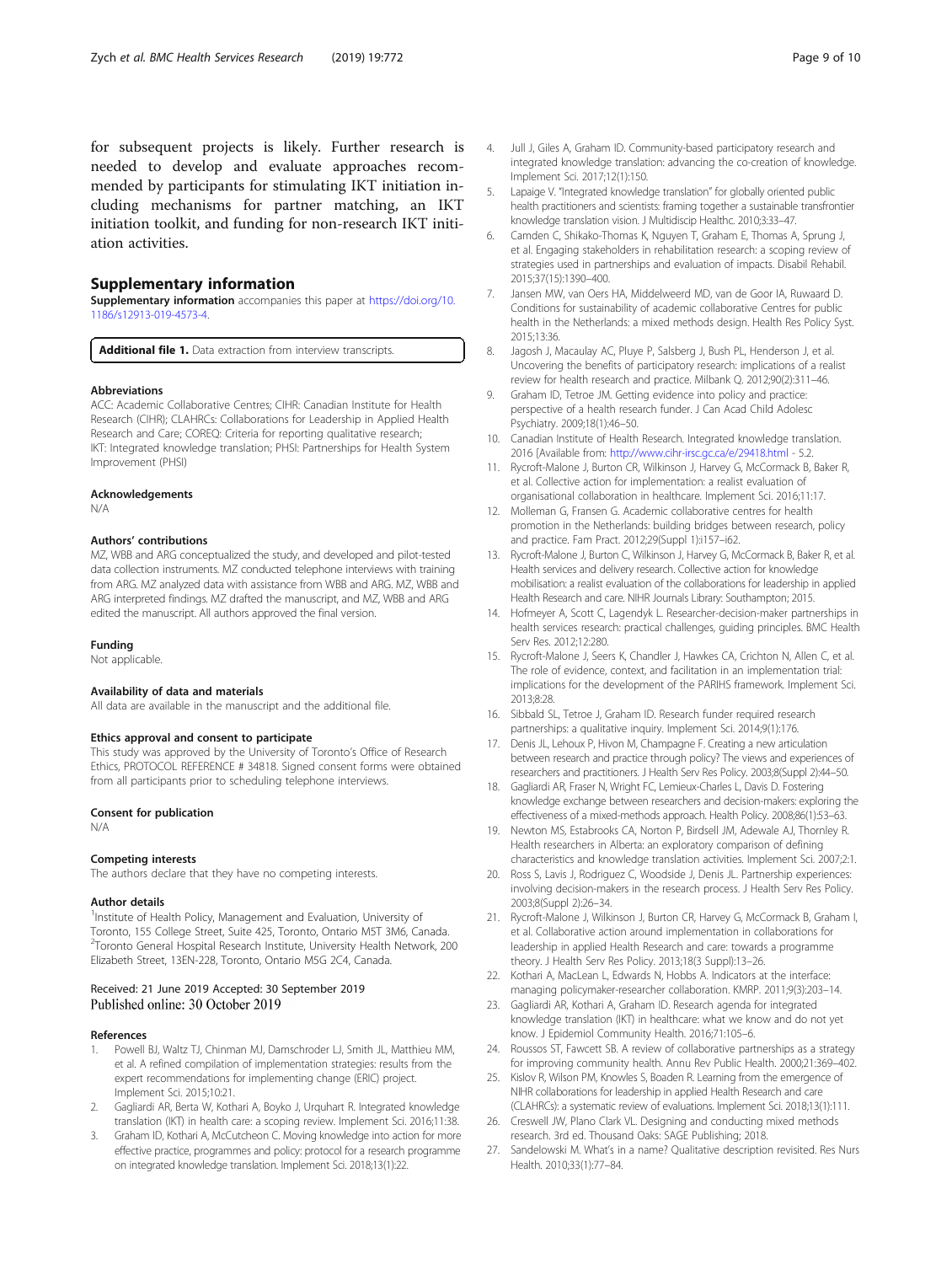<span id="page-8-0"></span>for subsequent projects is likely. Further research is needed to develop and evaluate approaches recommended by participants for stimulating IKT initiation including mechanisms for partner matching, an IKT initiation toolkit, and funding for non-research IKT initiation activities.

### Supplementary information

Supplementary information accompanies this paper at [https://doi.org/10.](https://doi.org/10.1186/s12913-019-4573-4) [1186/s12913-019-4573-4.](https://doi.org/10.1186/s12913-019-4573-4)

Additional file 1. Data extraction from interview transcripts.

#### **Abbreviations**

ACC: Academic Collaborative Centres; CIHR: Canadian Institute for Health Research (CIHR); CLAHRCs: Collaborations for Leadership in Applied Health Research and Care; COREQ: Criteria for reporting qualitative research; IKT: Integrated knowledge translation; PHSI: Partnerships for Health System Improvement (PHSI)

#### Acknowledgements

N/A

#### Authors' contributions

MZ, WBB and ARG conceptualized the study, and developed and pilot-tested data collection instruments. MZ conducted telephone interviews with training from ARG. MZ analyzed data with assistance from WBB and ARG. MZ, WBB and ARG interpreted findings. MZ drafted the manuscript, and MZ, WBB and ARG edited the manuscript. All authors approved the final version.

### Funding

Not applicable.

#### Availability of data and materials

All data are available in the manuscript and the additional file.

#### Ethics approval and consent to participate

This study was approved by the University of Toronto's Office of Research Ethics, PROTOCOL REFERENCE # 34818. Signed consent forms were obtained from all participants prior to scheduling telephone interviews.

#### Consent for publication

N/A

#### Competing interests

The authors declare that they have no competing interests.

#### Author details

<sup>1</sup>Institute of Health Policy, Management and Evaluation, University of Toronto, 155 College Street, Suite 425, Toronto, Ontario M5T 3M6, Canada. 2 Toronto General Hospital Research Institute, University Health Network, 200 Elizabeth Street, 13EN-228, Toronto, Ontario M5G 2C4, Canada.

#### Received: 21 June 2019 Accepted: 30 September 2019 Published online: 30 October 2019

#### References

- 1. Powell BJ, Waltz TJ, Chinman MJ, Damschroder LJ, Smith JL, Matthieu MM, et al. A refined compilation of implementation strategies: results from the expert recommendations for implementing change (ERIC) project. Implement Sci. 2015;10:21.
- 2. Gagliardi AR, Berta W, Kothari A, Boyko J, Urquhart R. Integrated knowledge translation (IKT) in health care: a scoping review. Implement Sci. 2016;11:38.
- Graham ID, Kothari A, McCutcheon C. Moving knowledge into action for more effective practice, programmes and policy: protocol for a research programme on integrated knowledge translation. Implement Sci. 2018;13(1):22.
- 4. Jull J, Giles A, Graham ID. Community-based participatory research and integrated knowledge translation: advancing the co-creation of knowledge. Implement Sci. 2017;12(1):150.
- 5. Lapaige V. "Integrated knowledge translation" for globally oriented public health practitioners and scientists: framing together a sustainable transfrontier knowledge translation vision. J Multidiscip Healthc. 2010;3:33–47.
- 6. Camden C, Shikako-Thomas K, Nguyen T, Graham E, Thomas A, Sprung J, et al. Engaging stakeholders in rehabilitation research: a scoping review of strategies used in partnerships and evaluation of impacts. Disabil Rehabil. 2015;37(15):1390–400.
- Jansen MW, van Oers HA, Middelweerd MD, van de Goor IA, Ruwaard D. Conditions for sustainability of academic collaborative Centres for public health in the Netherlands: a mixed methods design. Health Res Policy Syst. 2015;13:36.
- 8. Jagosh J, Macaulay AC, Pluye P, Salsberg J, Bush PL, Henderson J, et al. Uncovering the benefits of participatory research: implications of a realist review for health research and practice. Milbank Q. 2012;90(2):311–46.
- Graham ID, Tetroe JM. Getting evidence into policy and practice: perspective of a health research funder. J Can Acad Child Adolesc Psychiatry. 2009;18(1):46–50.
- 10. Canadian Institute of Health Research. Integrated knowledge translation. 2016 [Available from: <http://www.cihr-irsc.gc.ca/e/29418.html> - 5.2.
- 11. Rycroft-Malone J, Burton CR, Wilkinson J, Harvey G, McCormack B, Baker R, et al. Collective action for implementation: a realist evaluation of organisational collaboration in healthcare. Implement Sci. 2016;11:17.
- 12. Molleman G, Fransen G, Academic collaborative centres for health promotion in the Netherlands: building bridges between research, policy and practice. Fam Pract. 2012;29(Suppl 1):i157–i62.
- 13. Rycroft-Malone J, Burton C, Wilkinson J, Harvey G, McCormack B, Baker R, et al. Health services and delivery research. Collective action for knowledge mobilisation: a realist evaluation of the collaborations for leadership in applied Health Research and care. NIHR Journals Library: Southampton; 2015.
- 14. Hofmeyer A, Scott C, Lagendyk L. Researcher-decision-maker partnerships in health services research: practical challenges, guiding principles. BMC Health Serv Res. 2012;12:280.
- 15. Rycroft-Malone J, Seers K, Chandler J, Hawkes CA, Crichton N, Allen C, et al. The role of evidence, context, and facilitation in an implementation trial: implications for the development of the PARIHS framework. Implement Sci. 2013;8:28.
- 16. Sibbald SL, Tetroe J, Graham ID. Research funder required research partnerships: a qualitative inquiry. Implement Sci. 2014;9(1):176.
- 17. Denis JL, Lehoux P, Hivon M, Champagne F. Creating a new articulation between research and practice through policy? The views and experiences of researchers and practitioners. J Health Serv Res Policy. 2003;8(Suppl 2):44–50.
- 18. Gagliardi AR, Fraser N, Wright FC, Lemieux-Charles L, Davis D. Fostering knowledge exchange between researchers and decision-makers: exploring the effectiveness of a mixed-methods approach. Health Policy. 2008;86(1):53–63.
- 19. Newton MS, Estabrooks CA, Norton P, Birdsell JM, Adewale AJ, Thornley R. Health researchers in Alberta: an exploratory comparison of defining characteristics and knowledge translation activities. Implement Sci. 2007;2:1.
- 20. Ross S, Lavis J, Rodriguez C, Woodside J, Denis JL. Partnership experiences: involving decision-makers in the research process. J Health Serv Res Policy. 2003;8(Suppl 2):26–34.
- 21. Rycroft-Malone J, Wilkinson J, Burton CR, Harvey G, McCormack B, Graham I, et al. Collaborative action around implementation in collaborations for leadership in applied Health Research and care: towards a programme theory. J Health Serv Res Policy. 2013;18(3 Suppl):13–26.
- 22. Kothari A, MacLean L, Edwards N, Hobbs A. Indicators at the interface: managing policymaker-researcher collaboration. KMRP. 2011;9(3):203–14.
- 23. Gagliardi AR, Kothari A, Graham ID. Research agenda for integrated knowledge translation (IKT) in healthcare: what we know and do not yet know. J Epidemiol Community Health. 2016;71:105–6.
- 24. Roussos ST, Fawcett SB. A review of collaborative partnerships as a strategy for improving community health. Annu Rev Public Health. 2000;21:369–402.
- 25. Kislov R, Wilson PM, Knowles S, Boaden R. Learning from the emergence of NIHR collaborations for leadership in applied Health Research and care (CLAHRCs): a systematic review of evaluations. Implement Sci. 2018;13(1):111.
- 26. Creswell JW, Plano Clark VL. Designing and conducting mixed methods research. 3rd ed. Thousand Oaks: SAGE Publishing; 2018.
- 27. Sandelowski M. What's in a name? Qualitative description revisited. Res Nurs Health. 2010;33(1):77–84.